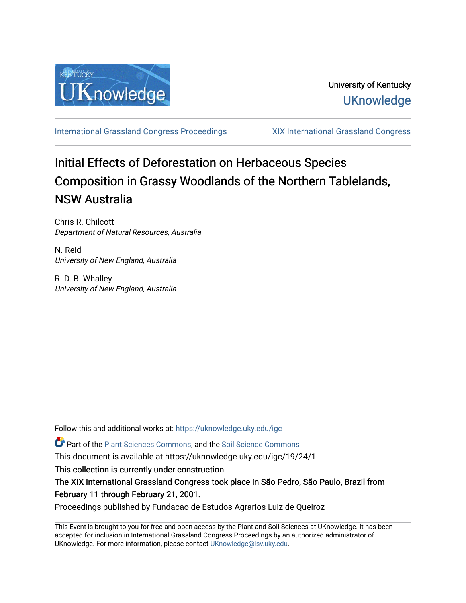

[International Grassland Congress Proceedings](https://uknowledge.uky.edu/igc) [XIX International Grassland Congress](https://uknowledge.uky.edu/igc/19) 

## Initial Effects of Deforestation on Herbaceous Species Composition in Grassy Woodlands of the Northern Tablelands, NSW Australia

Chris R. Chilcott Department of Natural Resources, Australia

N. Reid University of New England, Australia

R. D. B. Whalley University of New England, Australia

Follow this and additional works at: [https://uknowledge.uky.edu/igc](https://uknowledge.uky.edu/igc?utm_source=uknowledge.uky.edu%2Figc%2F19%2F24%2F1&utm_medium=PDF&utm_campaign=PDFCoverPages) 

Part of the [Plant Sciences Commons](http://network.bepress.com/hgg/discipline/102?utm_source=uknowledge.uky.edu%2Figc%2F19%2F24%2F1&utm_medium=PDF&utm_campaign=PDFCoverPages), and the [Soil Science Commons](http://network.bepress.com/hgg/discipline/163?utm_source=uknowledge.uky.edu%2Figc%2F19%2F24%2F1&utm_medium=PDF&utm_campaign=PDFCoverPages) 

This document is available at https://uknowledge.uky.edu/igc/19/24/1

This collection is currently under construction.

The XIX International Grassland Congress took place in São Pedro, São Paulo, Brazil from February 11 through February 21, 2001.

Proceedings published by Fundacao de Estudos Agrarios Luiz de Queiroz

This Event is brought to you for free and open access by the Plant and Soil Sciences at UKnowledge. It has been accepted for inclusion in International Grassland Congress Proceedings by an authorized administrator of UKnowledge. For more information, please contact [UKnowledge@lsv.uky.edu](mailto:UKnowledge@lsv.uky.edu).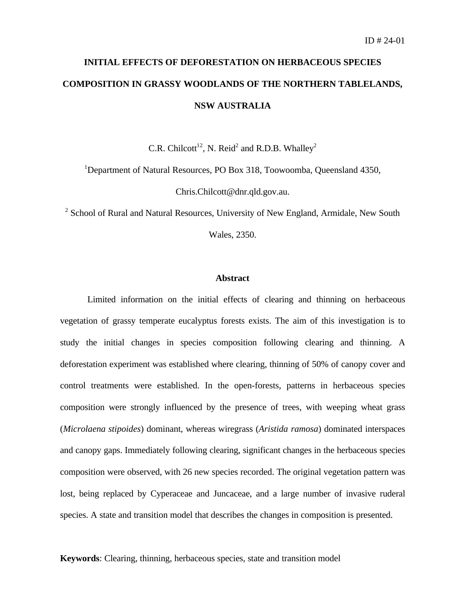# **INITIAL EFFECTS OF DEFORESTATION ON HERBACEOUS SPECIES COMPOSITION IN GRASSY WOODLANDS OF THE NORTHERN TABLELANDS, NSW AUSTRALIA**

C.R. Chilcott<sup>12</sup>, N. Reid<sup>2</sup> and R.D.B. Whalley<sup>2</sup>

<sup>1</sup>Department of Natural Resources, PO Box 318, Toowoomba, Queensland 4350,

Chris.Chilcott@dnr.qld.gov.au.

<sup>2</sup> School of Rural and Natural Resources, University of New England, Armidale, New South

Wales, 2350.

### **Abstract**

Limited information on the initial effects of clearing and thinning on herbaceous vegetation of grassy temperate eucalyptus forests exists. The aim of this investigation is to study the initial changes in species composition following clearing and thinning. A deforestation experiment was established where clearing, thinning of 50% of canopy cover and control treatments were established. In the open-forests, patterns in herbaceous species composition were strongly influenced by the presence of trees, with weeping wheat grass (*Microlaena stipoides*) dominant, whereas wiregrass (*Aristida ramosa*) dominated interspaces and canopy gaps. Immediately following clearing, significant changes in the herbaceous species composition were observed, with 26 new species recorded. The original vegetation pattern was lost, being replaced by Cyperaceae and Juncaceae, and a large number of invasive ruderal species. A state and transition model that describes the changes in composition is presented.

**Keywords**: Clearing, thinning, herbaceous species, state and transition model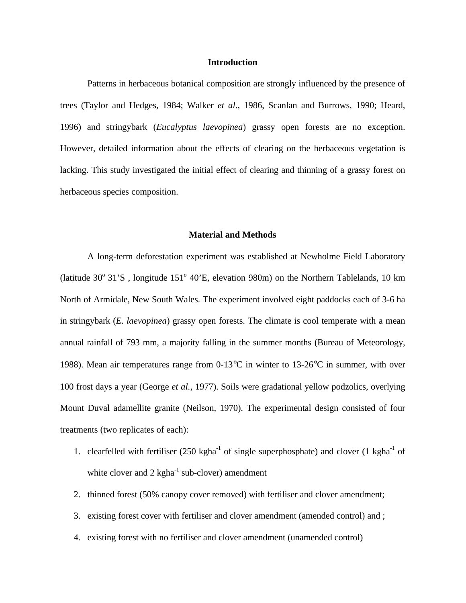## **Introduction**

Patterns in herbaceous botanical composition are strongly influenced by the presence of trees (Taylor and Hedges, 1984; Walker *et al*., 1986, Scanlan and Burrows, 1990; Heard, 1996) and stringybark (*Eucalyptus laevopinea*) grassy open forests are no exception. However, detailed information about the effects of clearing on the herbaceous vegetation is lacking. This study investigated the initial effect of clearing and thinning of a grassy forest on herbaceous species composition.

## **Material and Methods**

A long-term deforestation experiment was established at Newholme Field Laboratory (latitude  $30^{\circ}$  31'S, longitude  $151^{\circ}$  40'E, elevation 980m) on the Northern Tablelands, 10 km North of Armidale, New South Wales. The experiment involved eight paddocks each of 3-6 ha in stringybark (*E. laevopinea*) grassy open forests. The climate is cool temperate with a mean annual rainfall of 793 mm, a majority falling in the summer months (Bureau of Meteorology, 1988). Mean air temperatures range from 0-13°C in winter to 13-26°C in summer, with over 100 frost days a year (George *et al.,* 1977). Soils were gradational yellow podzolics, overlying Mount Duval adamellite granite (Neilson, 1970). The experimental design consisted of four treatments (two replicates of each):

- 1. clearfelled with fertiliser  $(250 \text{ kgha}^{-1} \text{ of single superphosphate})$  and clover  $(1 \text{ kgha}^{-1} \text{ of }$ white clover and  $2 \text{ kgha}^{-1}$  sub-clover) amendment
- 2. thinned forest (50% canopy cover removed) with fertiliser and clover amendment;
- 3. existing forest cover with fertiliser and clover amendment (amended control) and ;
- 4. existing forest with no fertiliser and clover amendment (unamended control)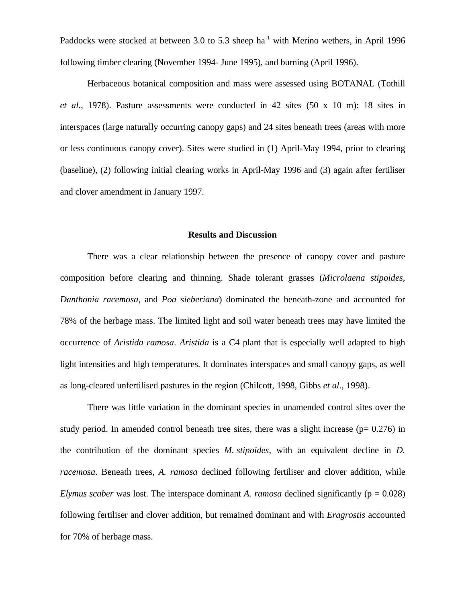Paddocks were stocked at between 3.0 to 5.3 sheep  $ha^{-1}$  with Merino wethers, in April 1996 following timber clearing (November 1994- June 1995), and burning (April 1996).

Herbaceous botanical composition and mass were assessed using BOTANAL (Tothill *et al.*, 1978). Pasture assessments were conducted in 42 sites (50 x 10 m): 18 sites in interspaces (large naturally occurring canopy gaps) and 24 sites beneath trees (areas with more or less continuous canopy cover). Sites were studied in (1) April-May 1994, prior to clearing (baseline), (2) following initial clearing works in April-May 1996 and (3) again after fertiliser and clover amendment in January 1997.

#### **Results and Discussion**

There was a clear relationship between the presence of canopy cover and pasture composition before clearing and thinning. Shade tolerant grasses (*Microlaena stipoides, Danthonia racemosa*, and *Poa sieberiana*) dominated the beneath-zone and accounted for 78% of the herbage mass. The limited light and soil water beneath trees may have limited the occurrence of *Aristida ramosa*. *Aristida* is a C4 plant that is especially well adapted to high light intensities and high temperatures. It dominates interspaces and small canopy gaps, as well as long-cleared unfertilised pastures in the region (Chilcott, 1998, Gibbs *et al*., 1998).

There was little variation in the dominant species in unamended control sites over the study period. In amended control beneath tree sites, there was a slight increase ( $p= 0.276$ ) in the contribution of the dominant species *M. stipoides*, with an equivalent decline in *D. racemosa*. Beneath trees, *A. ramosa* declined following fertiliser and clover addition, while *Elymus scaber* was lost. The interspace dominant *A. ramosa* declined significantly ( $p = 0.028$ ) following fertiliser and clover addition, but remained dominant and with *Eragrostis* accounted for 70% of herbage mass.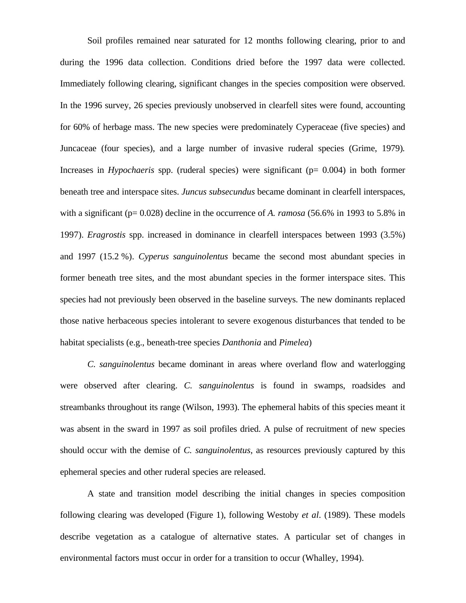Soil profiles remained near saturated for 12 months following clearing, prior to and during the 1996 data collection. Conditions dried before the 1997 data were collected. Immediately following clearing, significant changes in the species composition were observed. In the 1996 survey, 26 species previously unobserved in clearfell sites were found, accounting for 60% of herbage mass. The new species were predominately Cyperaceae (five species) and Juncaceae (four species), and a large number of invasive ruderal species (Grime, 1979)*.* Increases in *Hypochaeris* spp. (ruderal species) were significant ( $p= 0.004$ ) in both former beneath tree and interspace sites. *Juncus subsecundus* became dominant in clearfell interspaces, with a significant (p= 0.028) decline in the occurrence of *A. ramosa* (56.6% in 1993 to 5.8% in 1997). *Eragrostis* spp. increased in dominance in clearfell interspaces between 1993 (3.5%) and 1997 (15.2 %). *Cyperus sanguinolentus* became the second most abundant species in former beneath tree sites, and the most abundant species in the former interspace sites. This species had not previously been observed in the baseline surveys. The new dominants replaced those native herbaceous species intolerant to severe exogenous disturbances that tended to be habitat specialists (e.g., beneath-tree species *Danthonia* and *Pimelea*)

*C. sanguinolentus* became dominant in areas where overland flow and waterlogging were observed after clearing. *C. sanguinolentus* is found in swamps, roadsides and streambanks throughout its range (Wilson, 1993). The ephemeral habits of this species meant it was absent in the sward in 1997 as soil profiles dried. A pulse of recruitment of new species should occur with the demise of *C. sanguinolentus*, as resources previously captured by this ephemeral species and other ruderal species are released.

A state and transition model describing the initial changes in species composition following clearing was developed (Figure 1), following Westoby *et al*. (1989). These models describe vegetation as a catalogue of alternative states. A particular set of changes in environmental factors must occur in order for a transition to occur (Whalley, 1994).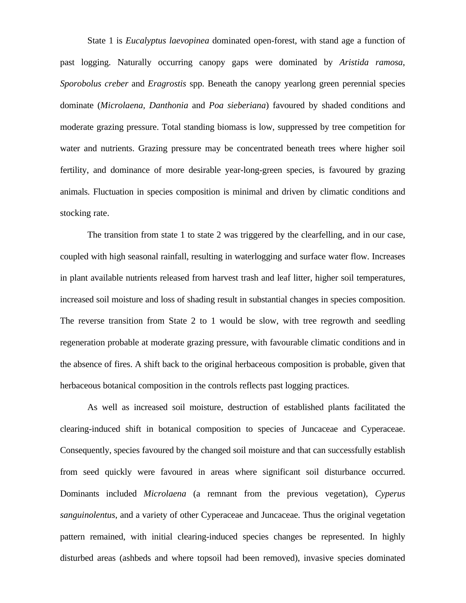State 1 is *Eucalyptus laevopinea* dominated open-forest, with stand age a function of past logging. Naturally occurring canopy gaps were dominated by *Aristida ramosa*, *Sporobolus creber* and *Eragrostis* spp. Beneath the canopy yearlong green perennial species dominate (*Microlaena, Danthonia* and *Poa sieberiana*) favoured by shaded conditions and moderate grazing pressure. Total standing biomass is low, suppressed by tree competition for water and nutrients. Grazing pressure may be concentrated beneath trees where higher soil fertility, and dominance of more desirable year-long-green species, is favoured by grazing animals. Fluctuation in species composition is minimal and driven by climatic conditions and stocking rate.

The transition from state 1 to state 2 was triggered by the clearfelling, and in our case, coupled with high seasonal rainfall, resulting in waterlogging and surface water flow. Increases in plant available nutrients released from harvest trash and leaf litter, higher soil temperatures, increased soil moisture and loss of shading result in substantial changes in species composition. The reverse transition from State 2 to 1 would be slow, with tree regrowth and seedling regeneration probable at moderate grazing pressure, with favourable climatic conditions and in the absence of fires. A shift back to the original herbaceous composition is probable, given that herbaceous botanical composition in the controls reflects past logging practices.

As well as increased soil moisture, destruction of established plants facilitated the clearing-induced shift in botanical composition to species of Juncaceae and Cyperaceae. Consequently, species favoured by the changed soil moisture and that can successfully establish from seed quickly were favoured in areas where significant soil disturbance occurred. Dominants included *Microlaena* (a remnant from the previous vegetation), *Cyperus sanguinolentus*, and a variety of other Cyperaceae and Juncaceae. Thus the original vegetation pattern remained, with initial clearing-induced species changes be represented. In highly disturbed areas (ashbeds and where topsoil had been removed), invasive species dominated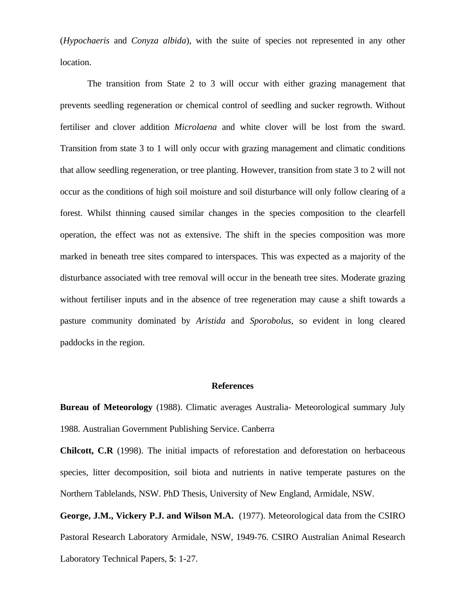(*Hypochaeris* and *Conyza albida*), with the suite of species not represented in any other location.

The transition from State 2 to 3 will occur with either grazing management that prevents seedling regeneration or chemical control of seedling and sucker regrowth. Without fertiliser and clover addition *Microlaena* and white clover will be lost from the sward. Transition from state 3 to 1 will only occur with grazing management and climatic conditions that allow seedling regeneration, or tree planting. However, transition from state 3 to 2 will not occur as the conditions of high soil moisture and soil disturbance will only follow clearing of a forest. Whilst thinning caused similar changes in the species composition to the clearfell operation, the effect was not as extensive. The shift in the species composition was more marked in beneath tree sites compared to interspaces. This was expected as a majority of the disturbance associated with tree removal will occur in the beneath tree sites. Moderate grazing without fertiliser inputs and in the absence of tree regeneration may cause a shift towards a pasture community dominated by *Aristida* and *Sporobolus*, so evident in long cleared paddocks in the region.

#### **References**

**Bureau of Meteorology** (1988). Climatic averages Australia- Meteorological summary July 1988. Australian Government Publishing Service. Canberra

**Chilcott, C.R** (1998). The initial impacts of reforestation and deforestation on herbaceous species, litter decomposition, soil biota and nutrients in native temperate pastures on the Northern Tablelands, NSW. PhD Thesis, University of New England, Armidale, NSW.

**George, J.M., Vickery P.J. and Wilson M.A.** (1977). Meteorological data from the CSIRO Pastoral Research Laboratory Armidale, NSW, 1949-76. CSIRO Australian Animal Research Laboratory Technical Papers, **5**: 1-27.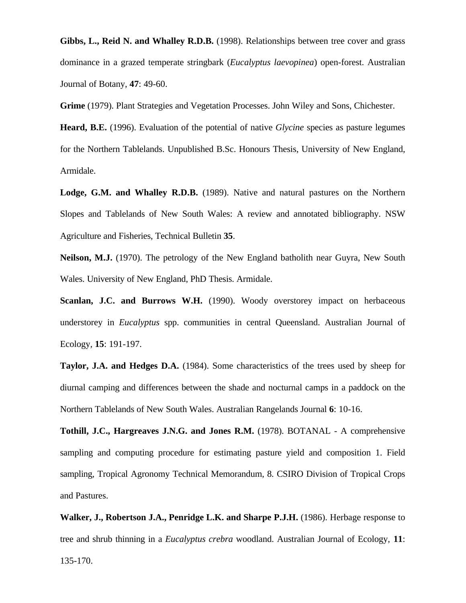**Gibbs, L., Reid N. and Whalley R.D.B.** (1998). Relationships between tree cover and grass dominance in a grazed temperate stringbark (*Eucalyptus laevopinea*) open-forest. Australian Journal of Botany, **47**: 49-60.

**Grime** (1979). Plant Strategies and Vegetation Processes. John Wiley and Sons, Chichester.

**Heard, B.E.** (1996). Evaluation of the potential of native *Glycine* species as pasture legumes for the Northern Tablelands. Unpublished B.Sc. Honours Thesis, University of New England, Armidale.

**Lodge, G.M. and Whalley R.D.B.** (1989). Native and natural pastures on the Northern Slopes and Tablelands of New South Wales: A review and annotated bibliography. NSW Agriculture and Fisheries, Technical Bulletin **35**.

**Neilson, M.J.** (1970). The petrology of the New England batholith near Guyra, New South Wales. University of New England, PhD Thesis. Armidale.

**Scanlan, J.C. and Burrows W.H.** (1990). Woody overstorey impact on herbaceous understorey in *Eucalyptus* spp. communities in central Queensland. Australian Journal of Ecology*,* **15**: 191-197.

**Taylor, J.A. and Hedges D.A.** (1984). Some characteristics of the trees used by sheep for diurnal camping and differences between the shade and nocturnal camps in a paddock on the Northern Tablelands of New South Wales. Australian Rangelands Journal **6**: 10-16.

**Tothill, J.C., Hargreaves J.N.G. and Jones R.M.** (1978). BOTANAL - A comprehensive sampling and computing procedure for estimating pasture yield and composition 1. Field sampling*,* Tropical Agronomy Technical Memorandum, 8. CSIRO Division of Tropical Crops and Pastures.

**Walker, J., Robertson J.A., Penridge L.K. and Sharpe P.J.H.** (1986). Herbage response to tree and shrub thinning in a *Eucalyptus crebra* woodland. Australian Journal of Ecology*,* **11**:

135-170.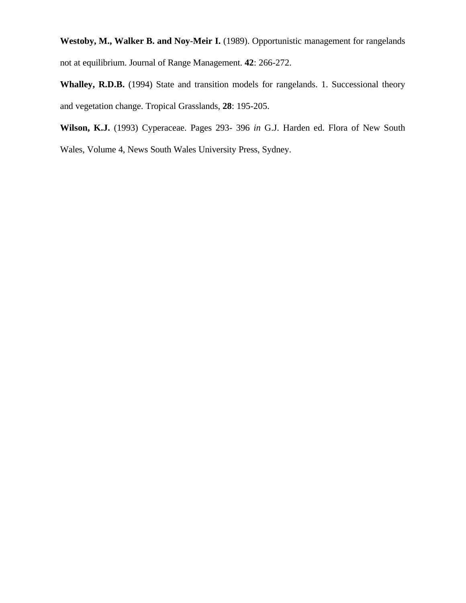Westoby, M., Walker B. and Noy-Meir I. (1989). Opportunistic management for rangelands not at equilibrium. Journal of Range Management. **42**: 266-272.

**Whalley, R.D.B.** (1994) State and transition models for rangelands. 1. Successional theory and vegetation change. Tropical Grasslands, **28**: 195-205.

**Wilson, K.J.** (1993) Cyperaceae. Pages 293- 396 *in* G.J. Harden ed. Flora of New South

Wales, Volume 4, News South Wales University Press, Sydney.